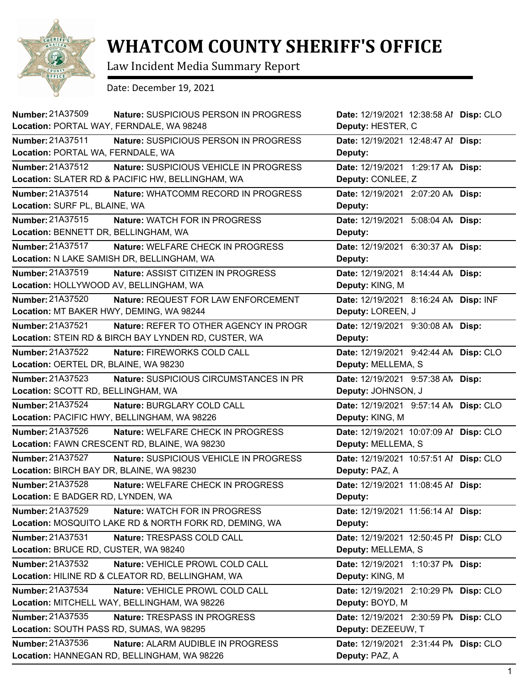

## **WHATCOM COUNTY SHERIFF'S OFFICE**

Law Incident Media Summary Report

Date: December 19, 2021

| <b>Number: 21A37509</b><br>Nature: SUSPICIOUS PERSON IN PROGRESS<br>Location: PORTAL WAY, FERNDALE, WA 98248                   | Date: 12/19/2021 12:38:58 Al Disp: CLO<br>Deputy: HESTER, C    |
|--------------------------------------------------------------------------------------------------------------------------------|----------------------------------------------------------------|
| Number: 21A37511<br>Nature: SUSPICIOUS PERSON IN PROGRESS<br>Location: PORTAL WA, FERNDALE, WA                                 | Date: 12/19/2021 12:48:47 Al Disp:<br>Deputy:                  |
| Number: 21A37512<br>Nature: SUSPICIOUS VEHICLE IN PROGRESS<br>Location: SLATER RD & PACIFIC HW, BELLINGHAM, WA                 | Date: 12/19/2021 1:29:17 AN Disp:<br>Deputy: CONLEE, Z         |
| Number: 21A37514<br>Nature: WHATCOMM RECORD IN PROGRESS<br>Location: SURF PL, BLAINE, WA                                       | Date: 12/19/2021 2:07:20 AN Disp:<br>Deputy:                   |
| Number: 21A37515<br>Nature: WATCH FOR IN PROGRESS<br>Location: BENNETT DR, BELLINGHAM, WA                                      | Date: 12/19/2021 5:08:04 AN Disp:<br>Deputy:                   |
| Number: 21A37517<br>Nature: WELFARE CHECK IN PROGRESS<br>Location: N LAKE SAMISH DR, BELLINGHAM, WA                            | Date: 12/19/2021 6:30:37 AN Disp:<br>Deputy:                   |
| <b>Number: 21A37519</b><br><b>Nature: ASSIST CITIZEN IN PROGRESS</b><br>Location: HOLLYWOOD AV, BELLINGHAM, WA                 | Date: 12/19/2021 8:14:44 AN Disp:<br>Deputy: KING, M           |
| <b>Number: 21A37520</b><br>Nature: REQUEST FOR LAW ENFORCEMENT<br>Location: MT BAKER HWY, DEMING, WA 98244<br>Number: 21A37521 | Date: 12/19/2021 8:16:24 AN Disp: INF<br>Deputy: LOREEN, J     |
| <b>Nature: REFER TO OTHER AGENCY IN PROGR</b><br>Location: STEIN RD & BIRCH BAY LYNDEN RD, CUSTER, WA                          | Date: 12/19/2021 9:30:08 AN Disp:<br>Deputy:                   |
| <b>Number: 21A37522</b><br>Nature: FIREWORKS COLD CALL<br>Location: OERTEL DR, BLAINE, WA 98230                                | Date: 12/19/2021 9:42:44 AN Disp: CLO<br>Deputy: MELLEMA, S    |
| <b>Number: 21A37523</b><br>Nature: SUSPICIOUS CIRCUMSTANCES IN PR<br>Location: SCOTT RD, BELLINGHAM, WA                        | Date: 12/19/2021 9:57:38 AN Disp:<br>Deputy: JOHNSON, J        |
| <b>Number: 21A37524</b><br>Nature: BURGLARY COLD CALL<br>Location: PACIFIC HWY, BELLINGHAM, WA 98226                           | Date: 12/19/2021 9:57:14 AN Disp: CLO<br>Deputy: KING, M       |
| Number: 21A37526<br>Nature: WELFARE CHECK IN PROGRESS<br>Location: FAWN CRESCENT RD, BLAINE, WA 98230                          | Date: 12/19/2021 10:07:09 Al Disp: CLO<br>Deputy: MELLEMA, S   |
| <b>Number: 21A37527</b><br>Nature: SUSPICIOUS VEHICLE IN PROGRESS<br>Location: BIRCH BAY DR, BLAINE, WA 98230                  | Date: 12/19/2021 10:57:51 Al Disp: CLO<br>Deputy: PAZ, A       |
| Number: 21A37528<br>Nature: WELFARE CHECK IN PROGRESS<br>Location: E BADGER RD, LYNDEN, WA                                     | Date: 12/19/2021 11:08:45 Al Disp:<br>Deputy:                  |
| Number: 21A37529<br>Nature: WATCH FOR IN PROGRESS<br>Location: MOSQUITO LAKE RD & NORTH FORK RD, DEMING, WA                    | Date: 12/19/2021 11:56:14 Al Disp:<br>Deputy:                  |
| Number: 21A37531<br>Nature: TRESPASS COLD CALL<br>Location: BRUCE RD, CUSTER, WA 98240                                         | Date: 12/19/2021 12:50:45 PI Disp: CLO<br>Deputy: MELLEMA, S   |
| Number: 21A37532<br>Nature: VEHICLE PROWL COLD CALL<br>Location: HILINE RD & CLEATOR RD, BELLINGHAM, WA                        | Date: 12/19/2021 1:10:37 PM Disp:<br>Deputy: KING, M           |
| Number: 21A37534<br>Nature: VEHICLE PROWL COLD CALL<br>Location: MITCHELL WAY, BELLINGHAM, WA 98226                            | Date: 12/19/2021 2:10:29 PM<br>Disp: CLO<br>Deputy: BOYD, M    |
| Number: 21A37535<br>Nature: TRESPASS IN PROGRESS<br>Location: SOUTH PASS RD, SUMAS, WA 98295                                   | Disp: CLO<br>Date: 12/19/2021 2:30:59 PM<br>Deputy: DEZEEUW, T |
| <b>Number: 21A37536</b><br>Nature: ALARM AUDIBLE IN PROGRESS<br>Location: HANNEGAN RD, BELLINGHAM, WA 98226                    | Date: 12/19/2021 2:31:44 PM Disp: CLO<br>Deputy: PAZ, A        |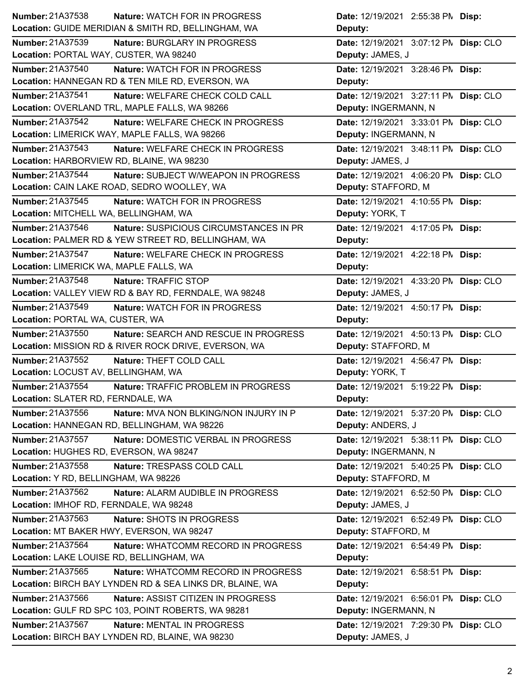| <b>Number: 21A37538</b><br><b>Nature: WATCH FOR IN PROGRESS</b>   | Date: 12/19/2021 2:55:38 PM Disp:     |
|-------------------------------------------------------------------|---------------------------------------|
| Location: GUIDE MERIDIAN & SMITH RD, BELLINGHAM, WA               | Deputy:                               |
| Number: 21A37539<br>Nature: BURGLARY IN PROGRESS                  | Date: 12/19/2021 3:07:12 PN Disp: CLO |
| Location: PORTAL WAY, CUSTER, WA 98240                            | Deputy: JAMES, J                      |
| Number: 21A37540<br>Nature: WATCH FOR IN PROGRESS                 | Date: 12/19/2021 3:28:46 PM Disp:     |
| Location: HANNEGAN RD & TEN MILE RD, EVERSON, WA                  | Deputy:                               |
| <b>Number: 21A37541</b><br>Nature: WELFARE CHECK COLD CALL        | Date: 12/19/2021 3:27:11 PN Disp: CLO |
| Location: OVERLAND TRL, MAPLE FALLS, WA 98266                     | Deputy: INGERMANN, N                  |
| Number: 21A37542<br>Nature: WELFARE CHECK IN PROGRESS             | Date: 12/19/2021 3:33:01 PM Disp: CLO |
| Location: LIMERICK WAY, MAPLE FALLS, WA 98266                     | Deputy: INGERMANN, N                  |
| Number: 21A37543<br>Nature: WELFARE CHECK IN PROGRESS             | Date: 12/19/2021 3:48:11 PM Disp: CLO |
| Location: HARBORVIEW RD, BLAINE, WA 98230                         | Deputy: JAMES, J                      |
| Number: 21A37544<br>Nature: SUBJECT W/WEAPON IN PROGRESS          | Date: 12/19/2021 4:06:20 PN Disp: CLO |
| Location: CAIN LAKE ROAD, SEDRO WOOLLEY, WA                       | Deputy: STAFFORD, M                   |
| Number: 21A37545<br>Nature: WATCH FOR IN PROGRESS                 | Date: 12/19/2021 4:10:55 PM Disp:     |
| Location: MITCHELL WA, BELLINGHAM, WA                             | Deputy: YORK, T                       |
| Number: 21A37546<br>Nature: SUSPICIOUS CIRCUMSTANCES IN PR        | Date: 12/19/2021 4:17:05 PM Disp:     |
| Location: PALMER RD & YEW STREET RD, BELLINGHAM, WA               | Deputy:                               |
| Number: 21A37547<br>Nature: WELFARE CHECK IN PROGRESS             | Date: 12/19/2021 4:22:18 PM Disp:     |
| Location: LIMERICK WA, MAPLE FALLS, WA                            | Deputy:                               |
| Number: 21A37548<br>Nature: TRAFFIC STOP                          | Date: 12/19/2021 4:33:20 PN Disp: CLO |
| Location: VALLEY VIEW RD & BAY RD, FERNDALE, WA 98248             | Deputy: JAMES, J                      |
| Number: 21A37549<br>Nature: WATCH FOR IN PROGRESS                 | Date: 12/19/2021 4:50:17 PM Disp:     |
| Location: PORTAL WA, CUSTER, WA                                   | Deputy:                               |
| <b>Number: 21A37550</b><br>Nature: SEARCH AND RESCUE IN PROGRESS  | Date: 12/19/2021 4:50:13 PN Disp: CLO |
| Location: MISSION RD & RIVER ROCK DRIVE, EVERSON, WA              | Deputy: STAFFORD, M                   |
| Number: 21A37552<br>Nature: THEFT COLD CALL                       | Date: 12/19/2021 4:56:47 PM Disp:     |
| Location: LOCUST AV, BELLINGHAM, WA                               | Deputy: YORK, T                       |
| Number: 21A37554<br>Nature: TRAFFIC PROBLEM IN PROGRESS           | Date: 12/19/2021 5:19:22 PM Disp:     |
| Location: SLATER RD, FERNDALE, WA                                 | Deputy:                               |
| Number: 21A37556<br><b>Nature: MVA NON BLKING/NON INJURY IN P</b> | Date: 12/19/2021 5:37:20 PM Disp: CLO |
| Location: HANNEGAN RD, BELLINGHAM, WA 98226                       | Deputy: ANDERS, J                     |
| Number: 21A37557<br>Nature: DOMESTIC VERBAL IN PROGRESS           | Date: 12/19/2021 5:38:11 PN Disp: CLO |
| Location: HUGHES RD, EVERSON, WA 98247                            | Deputy: INGERMANN, N                  |
|                                                                   |                                       |
| Number: 21A37558<br>Nature: TRESPASS COLD CALL                    | Date: 12/19/2021 5:40:25 PM Disp: CLO |
| Location: Y RD, BELLINGHAM, WA 98226                              | Deputy: STAFFORD, M                   |
| Number: 21A37562<br>Nature: ALARM AUDIBLE IN PROGRESS             | Date: 12/19/2021 6:52:50 PN Disp: CLO |
| Location: IMHOF RD, FERNDALE, WA 98248                            | Deputy: JAMES, J                      |
| Number: 21A37563<br>Nature: SHOTS IN PROGRESS                     | Date: 12/19/2021 6:52:49 PM Disp: CLO |
| Location: MT BAKER HWY, EVERSON, WA 98247                         | Deputy: STAFFORD, M                   |
| <b>Number: 21A37564</b><br>Nature: WHATCOMM RECORD IN PROGRESS    | Date: 12/19/2021 6:54:49 PM Disp:     |
| Location: LAKE LOUISE RD, BELLINGHAM, WA                          | Deputy:                               |
| Number: 21A37565<br>Nature: WHATCOMM RECORD IN PROGRESS           | Date: 12/19/2021 6:58:51 PM Disp:     |
| Location: BIRCH BAY LYNDEN RD & SEA LINKS DR, BLAINE, WA          | Deputy:                               |
| <b>Number: 21A37566</b><br>Nature: ASSIST CITIZEN IN PROGRESS     | Date: 12/19/2021 6:56:01 PM Disp: CLO |
| Location: GULF RD SPC 103, POINT ROBERTS, WA 98281                | Deputy: INGERMANN, N                  |
| Number: 21A37567<br>Nature: MENTAL IN PROGRESS                    | Date: 12/19/2021 7:29:30 PM Disp: CLO |